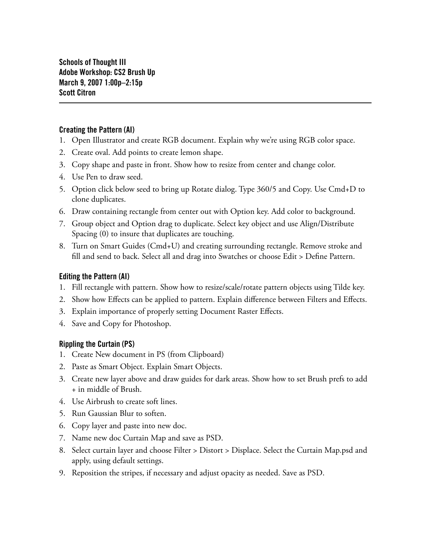### Creating the Pattern (AI)

- Open Illustrator and create RGB document. Explain why we're using RGB color space. 1.
- 2. Create oval. Add points to create lemon shape.
- Copy shape and paste in front. Show how to resize from center and change color. 3.
- Use Pen to draw seed. 4.
- Option click below seed to bring up Rotate dialog. Type 360/5 and Copy. Use Cmd+D to 5. clone duplicates.
- Draw containing rectangle from center out with Option key. Add color to background. 6.
- Group object and Option drag to duplicate. Select key object and use Align/Distribute 7. Spacing (0) to insure that duplicates are touching.
- Turn on Smart Guides (Cmd+U) and creating surrounding rectangle. Remove stroke and 8. fill and send to back. Select all and drag into Swatches or choose Edit > Define Pattern.

# Editing the Pattern (AI)

- Fill rectangle with pattern. Show how to resize/scale/rotate pattern objects using Tilde key. 1.
- 2. Show how Effects can be applied to pattern. Explain difference between Filters and Effects.
- Explain importance of properly setting Document Raster Effects. 3.
- 4. Save and Copy for Photoshop.

# Rippling the Curtain (PS)

- Create New document in PS (from Clipboard) 1.
- Paste as Smart Object. Explain Smart Objects. 2.
- Create new layer above and draw guides for dark areas. Show how to set Brush prefs to add 3. + in middle of Brush.
- Use Airbrush to create soft lines. 4.
- 5. Run Gaussian Blur to soften.
- 6. Copy layer and paste into new doc.
- Name new doc Curtain Map and save as PSD. 7.
- Select curtain layer and choose Filter > Distort > Displace. Select the Curtain Map.psd and 8. apply, using default settings.
- Reposition the stripes, if necessary and adjust opacity as needed. Save as PSD. 9.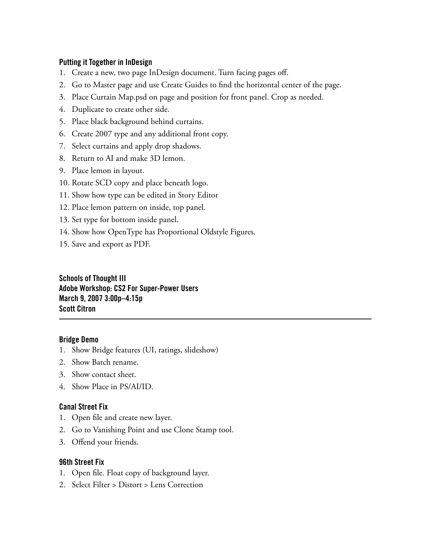### Putting it Together in InDesign

- 1. Create a new, two page InDesign document. Turn facing pages off.
- Go to Master page and use Create Guides to find the horizontal center of the page. 2.
- Place Curtain Map.psd on page and position for front panel. Crop as needed. 3.
- 4. Duplicate to create other side.
- Place black background behind curtains. 5.
- 6. Create 2007 type and any additional front copy.
- 7. Select curtains and apply drop shadows.
- 8. Return to AI and make 3D lemon.
- Place lemon in layout. 9.
- 10. Rotate SCD copy and place beneath logo.
- 11. Show how type can be edited in Story Editor
- 12. Place lemon pattern on inside, top panel.
- 13. Set type for bottom inside panel.
- 14. Show how OpenType has Proportional Oldstyle Figures.
- 15. Save and export as PDF.

Schools of Thought III Adobe Workshop: CS2 For Super-Power Users March 9, 2007 3:00p–4:15p Scott Citron

### Bridge Demo

- 1. Show Bridge features (UI, ratings, slideshow)
- 2. Show Batch rename.
- Show contact sheet. 3.
- 4. Show Place in PS/AI/ID.

### Canal Street Fix

- 1. Open file and create new layer.
- 2. Go to Vanishing Point and use Clone Stamp tool.
- Offend your friends. 3.

### 96th Street Fix

- 1. Open file. Float copy of background layer.
- 2. Select Filter > Distort > Lens Correction